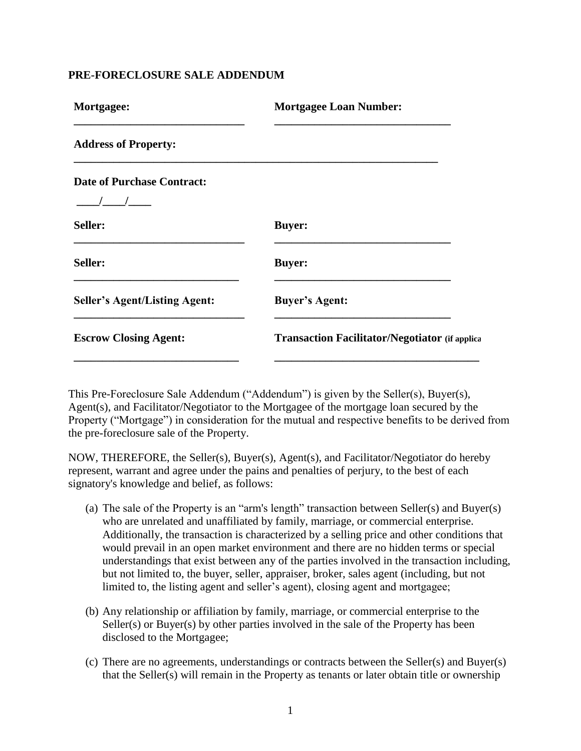## **PRE-FORECLOSURE SALE ADDENDUM**

| Mortgagee:                           | <b>Mortgagee Loan Number:</b>                         |
|--------------------------------------|-------------------------------------------------------|
| <b>Address of Property:</b>          |                                                       |
| <b>Date of Purchase Contract:</b>    |                                                       |
| Seller:                              | <b>Buyer:</b>                                         |
| Seller:                              | <b>Buyer:</b>                                         |
| <b>Seller's Agent/Listing Agent:</b> | <b>Buyer's Agent:</b>                                 |
| <b>Escrow Closing Agent:</b>         | <b>Transaction Facilitator/Negotiator (if applica</b> |
|                                      |                                                       |

This Pre-Foreclosure Sale Addendum ("Addendum") is given by the Seller(s), Buyer(s), Agent(s), and Facilitator/Negotiator to the Mortgagee of the mortgage loan secured by the Property ("Mortgage") in consideration for the mutual and respective benefits to be derived from the pre-foreclosure sale of the Property.

NOW, THEREFORE, the Seller(s), Buyer(s), Agent(s), and Facilitator/Negotiator do hereby represent, warrant and agree under the pains and penalties of perjury, to the best of each signatory's knowledge and belief, as follows:

- (a) The sale of the Property is an "arm's length" transaction between Seller(s) and Buyer(s) who are unrelated and unaffiliated by family, marriage, or commercial enterprise. Additionally, the transaction is characterized by a selling price and other conditions that would prevail in an open market environment and there are no hidden terms or special understandings that exist between any of the parties involved in the transaction including, but not limited to, the buyer, seller, appraiser, broker, sales agent (including, but not limited to, the listing agent and seller's agent), closing agent and mortgagee;
- (b) Any relationship or affiliation by family, marriage, or commercial enterprise to the Seller(s) or Buyer(s) by other parties involved in the sale of the Property has been disclosed to the Mortgagee;
- (c) There are no agreements, understandings or contracts between the Seller(s) and Buyer(s) that the Seller(s) will remain in the Property as tenants or later obtain title or ownership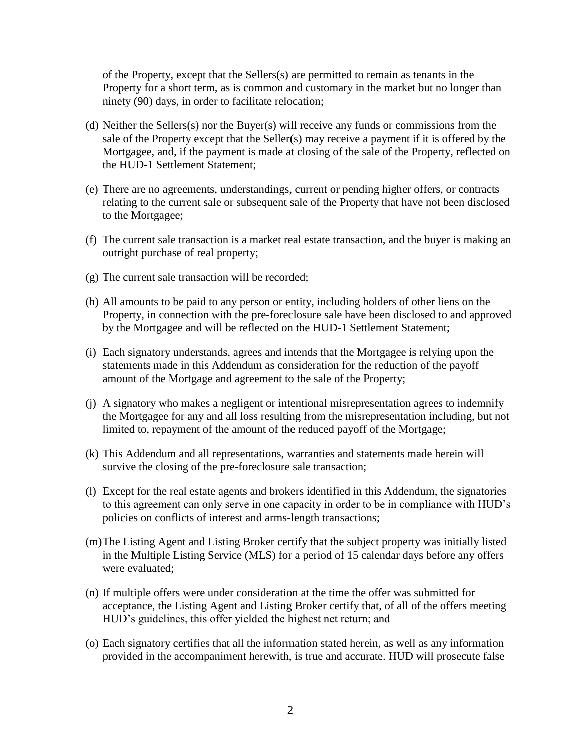of the Property, except that the Sellers(s) are permitted to remain as tenants in the Property for a short term, as is common and customary in the market but no longer than ninety (90) days, in order to facilitate relocation;

- (d) Neither the Sellers(s) nor the Buyer(s) will receive any funds or commissions from the sale of the Property except that the Seller(s) may receive a payment if it is offered by the Mortgagee, and, if the payment is made at closing of the sale of the Property, reflected on the HUD-1 Settlement Statement;
- (e) There are no agreements, understandings, current or pending higher offers, or contracts relating to the current sale or subsequent sale of the Property that have not been disclosed to the Mortgagee;
- (f) The current sale transaction is a market real estate transaction, and the buyer is making an outright purchase of real property;
- (g) The current sale transaction will be recorded;
- (h) All amounts to be paid to any person or entity, including holders of other liens on the Property, in connection with the pre-foreclosure sale have been disclosed to and approved by the Mortgagee and will be reflected on the HUD-1 Settlement Statement;
- (i) Each signatory understands, agrees and intends that the Mortgagee is relying upon the statements made in this Addendum as consideration for the reduction of the payoff amount of the Mortgage and agreement to the sale of the Property;
- (j) A signatory who makes a negligent or intentional misrepresentation agrees to indemnify the Mortgagee for any and all loss resulting from the misrepresentation including, but not limited to, repayment of the amount of the reduced payoff of the Mortgage;
- (k) This Addendum and all representations, warranties and statements made herein will survive the closing of the pre-foreclosure sale transaction;
- (l) Except for the real estate agents and brokers identified in this Addendum, the signatories to this agreement can only serve in one capacity in order to be in compliance with HUD's policies on conflicts of interest and arms-length transactions;
- (m)The Listing Agent and Listing Broker certify that the subject property was initially listed in the Multiple Listing Service (MLS) for a period of 15 calendar days before any offers were evaluated;
- (n) If multiple offers were under consideration at the time the offer was submitted for acceptance, the Listing Agent and Listing Broker certify that, of all of the offers meeting HUD's guidelines, this offer yielded the highest net return; and
- (o) Each signatory certifies that all the information stated herein, as well as any information provided in the accompaniment herewith, is true and accurate. HUD will prosecute false